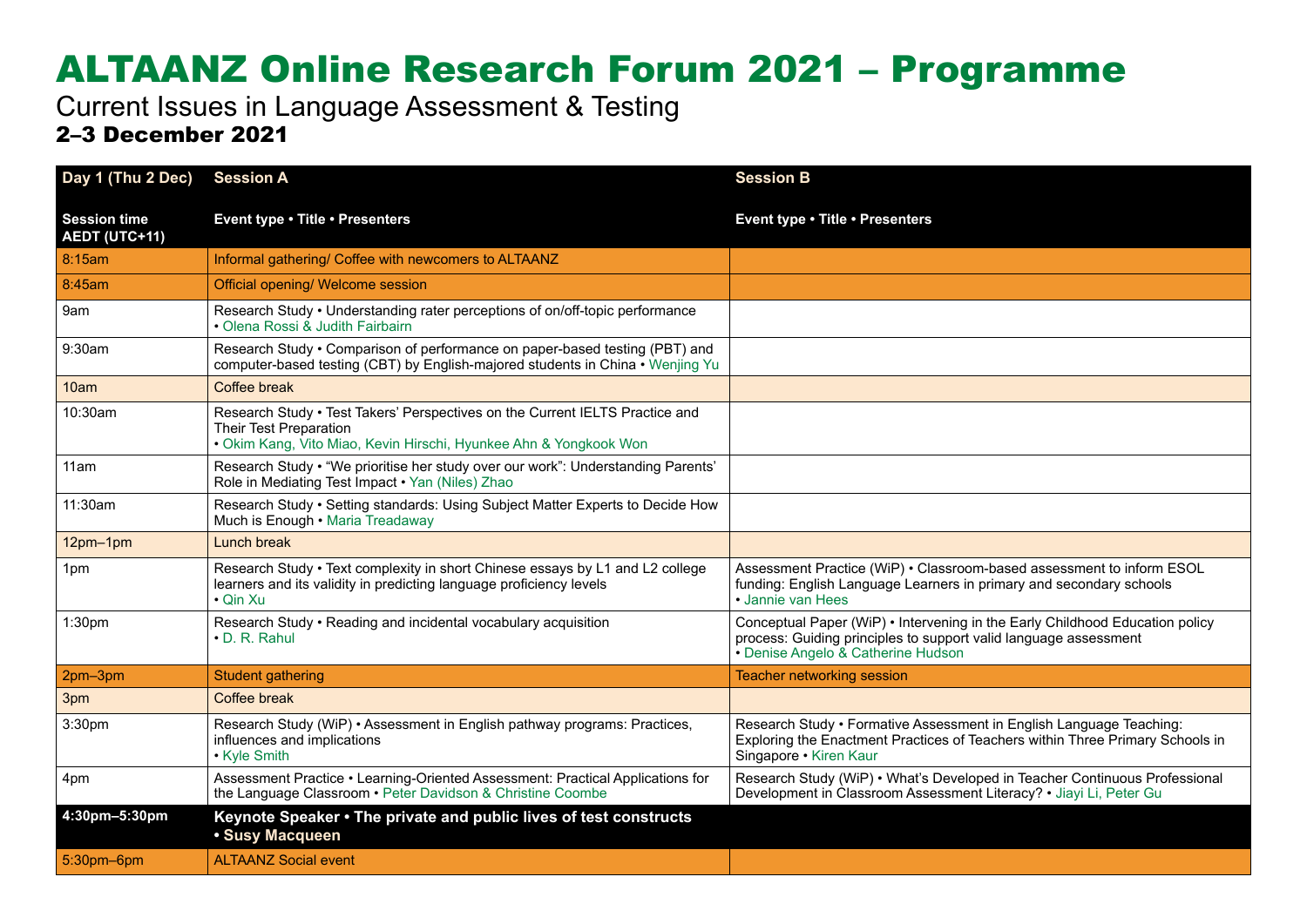## ALTAANZ Online Research Forum 2021 – Programme

Current Issues in Language Assessment & Testing 2–3 December 2021

| Day 1 (Thu 2 Dec)                           | <b>Session A</b>                                                                                                                                                            | <b>Session B</b>                                                                                                                                                                       |
|---------------------------------------------|-----------------------------------------------------------------------------------------------------------------------------------------------------------------------------|----------------------------------------------------------------------------------------------------------------------------------------------------------------------------------------|
| <b>Session time</b><br><b>AEDT (UTC+11)</b> | Event type . Title . Presenters                                                                                                                                             | Event type . Title . Presenters                                                                                                                                                        |
| 8:15am                                      | Informal gathering/ Coffee with newcomers to ALTAANZ                                                                                                                        |                                                                                                                                                                                        |
| 8:45am                                      | Official opening/ Welcome session                                                                                                                                           |                                                                                                                                                                                        |
| 9am                                         | Research Study • Understanding rater perceptions of on/off-topic performance<br>• Olena Rossi & Judith Fairbairn                                                            |                                                                                                                                                                                        |
| 9:30am                                      | Research Study • Comparison of performance on paper-based testing (PBT) and<br>computer-based testing (CBT) by English-majored students in China • Wenjing Yu               |                                                                                                                                                                                        |
| 10am                                        | Coffee break                                                                                                                                                                |                                                                                                                                                                                        |
| 10:30am                                     | Research Study . Test Takers' Perspectives on the Current IELTS Practice and<br>Their Test Preparation<br>· Okim Kang, Vito Miao, Kevin Hirschi, Hyunkee Ahn & Yongkook Won |                                                                                                                                                                                        |
| 11am                                        | Research Study • "We prioritise her study over our work": Understanding Parents'<br>Role in Mediating Test Impact . Yan (Niles) Zhao                                        |                                                                                                                                                                                        |
| 11:30am                                     | Research Study • Setting standards: Using Subject Matter Experts to Decide How<br>Much is Enough • Maria Treadaway                                                          |                                                                                                                                                                                        |
| 12pm-1pm                                    | Lunch break                                                                                                                                                                 |                                                                                                                                                                                        |
| 1pm                                         | Research Study • Text complexity in short Chinese essays by L1 and L2 college<br>learners and its validity in predicting language proficiency levels<br>• Qin Xu            | Assessment Practice (WiP) . Classroom-based assessment to inform ESOL<br>funding: English Language Learners in primary and secondary schools<br>· Jannie van Hees                      |
| 1:30pm                                      | Research Study • Reading and incidental vocabulary acquisition<br>$\cdot$ D. R. Rahul                                                                                       | Conceptual Paper (WiP) • Intervening in the Early Childhood Education policy<br>process: Guiding principles to support valid language assessment<br>• Denise Angelo & Catherine Hudson |
| 2pm-3pm                                     | <b>Student gathering</b>                                                                                                                                                    | <b>Teacher networking session</b>                                                                                                                                                      |
| 3pm                                         | Coffee break                                                                                                                                                                |                                                                                                                                                                                        |
| 3:30pm                                      | Research Study (WiP) • Assessment in English pathway programs: Practices,<br>influences and implications<br>• Kyle Smith                                                    | Research Study • Formative Assessment in English Language Teaching:<br>Exploring the Enactment Practices of Teachers within Three Primary Schools in<br>Singapore • Kiren Kaur         |
| 4pm                                         | Assessment Practice • Learning-Oriented Assessment: Practical Applications for<br>the Language Classroom . Peter Davidson & Christine Coombe                                | Research Study (WiP) • What's Developed in Teacher Continuous Professional<br>Development in Classroom Assessment Literacy? • Jiayi Li, Peter Gu                                       |
| 4:30pm-5:30pm                               | Keynote Speaker • The private and public lives of test constructs<br>· Susy Macqueen                                                                                        |                                                                                                                                                                                        |
| 5:30pm-6pm                                  | <b>ALTAANZ Social event</b>                                                                                                                                                 |                                                                                                                                                                                        |